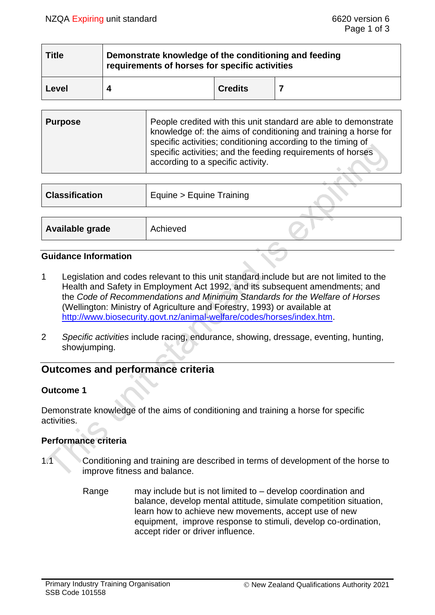| <b>Title</b> | Demonstrate knowledge of the conditioning and feeding<br>requirements of horses for specific activities |                |  |  |
|--------------|---------------------------------------------------------------------------------------------------------|----------------|--|--|
| Level        |                                                                                                         | <b>Credits</b> |  |  |

| <b>Purpose</b> | People credited with this unit standard are able to demonstrate<br>knowledge of: the aims of conditioning and training a horse for<br>specific activities; conditioning according to the timing of<br>specific activities; and the feeding requirements of horses<br>according to a specific activity. |
|----------------|--------------------------------------------------------------------------------------------------------------------------------------------------------------------------------------------------------------------------------------------------------------------------------------------------------|
|----------------|--------------------------------------------------------------------------------------------------------------------------------------------------------------------------------------------------------------------------------------------------------------------------------------------------------|

| <b>Classification</b> | Equine > Equine Training |  |
|-----------------------|--------------------------|--|
|                       |                          |  |
| Available grade       | Achieved                 |  |
|                       |                          |  |

### **Guidance Information**

- 1 Legislation and codes relevant to this unit standard include but are not limited to the Health and Safety in Employment Act 1992, and its subsequent amendments; and the *Code of Recommendations and Minimum Standards for the Welfare of Horses*  (Wellington: Ministry of Agriculture and Forestry, 1993) or available at [http://www.biosecurity.govt.nz/animal-welfare/codes/horses/index.htm.](http://www.biosecurity.govt.nz/animal-welfare/codes/horses/index.htm)
- 2 *Specific activities* include racing, endurance, showing, dressage, eventing, hunting, showjumping.

# **Outcomes and performance criteria**

### **Outcome 1**

Demonstrate knowledge of the aims of conditioning and training a horse for specific activities.

### **Performance criteria**

- 1.1 Conditioning and training are described in terms of development of the horse to improve fitness and balance.
	- Range may include but is not limited to develop coordination and balance, develop mental attitude, simulate competition situation, learn how to achieve new movements, accept use of new equipment, improve response to stimuli, develop co-ordination, accept rider or driver influence.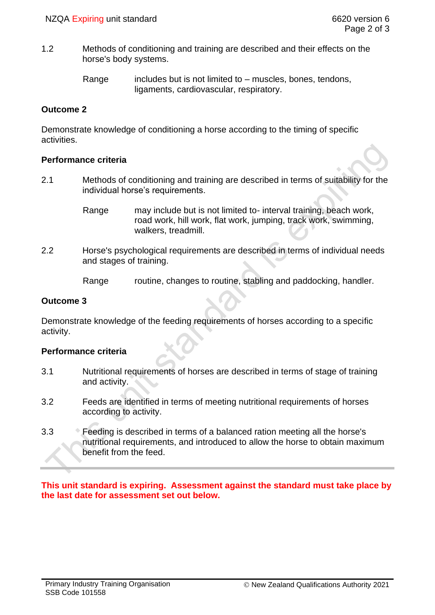1.2 Methods of conditioning and training are described and their effects on the horse's body systems.

> Range includes but is not limited to – muscles, bones, tendons, ligaments, cardiovascular, respiratory.

## **Outcome 2**

Demonstrate knowledge of conditioning a horse according to the timing of specific activities.

## **Performance criteria**

- 2.1 Methods of conditioning and training are described in terms of suitability for the individual horse's requirements.
	- Range may include but is not limited to- interval training, beach work, road work, hill work, flat work, jumping, track work, swimming, walkers, treadmill.
- 2.2 Horse's psychological requirements are described in terms of individual needs and stages of training.
	- Range routine, changes to routine, stabling and paddocking, handler.

## **Outcome 3**

Demonstrate knowledge of the feeding requirements of horses according to a specific activity.

## **Performance criteria**

- 3.1 Nutritional requirements of horses are described in terms of stage of training and activity.
- 3.2 Feeds are identified in terms of meeting nutritional requirements of horses according to activity.
- 3.3 Feeding is described in terms of a balanced ration meeting all the horse's nutritional requirements, and introduced to allow the horse to obtain maximum benefit from the feed.

**This unit standard is expiring. Assessment against the standard must take place by the last date for assessment set out below.**